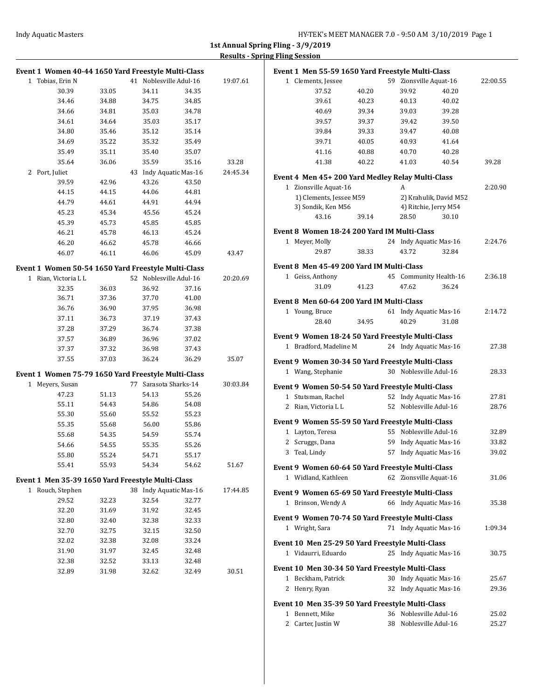| Event 1 Women 40-44 1650 Yard Freestyle Multi-Class                    |                |                        |       |          | Event 1 Men 55-59 1650 Yard Freestyle Multi-Class |       |   |                        |          |
|------------------------------------------------------------------------|----------------|------------------------|-------|----------|---------------------------------------------------|-------|---|------------------------|----------|
| 1 Tobias, Erin N                                                       |                | 41 Noblesville Adul-16 |       | 19:07.61 | 1 Clements, Jessee                                |       |   | 59 Zionsville Aquat-16 | 22:00.55 |
| 30.39                                                                  | 33.05          | 34.11                  | 34.35 |          | 37.52                                             | 40.20 |   | 39.92<br>40.20         |          |
| 34.46                                                                  | 34.88          | 34.75                  | 34.85 |          | 39.61                                             | 40.23 |   | 40.13<br>40.02         |          |
| 34.66                                                                  | 34.81          | 35.03                  | 34.78 |          | 40.69                                             | 39.34 |   | 39.03<br>39.28         |          |
| 34.61                                                                  | 34.64          | 35.03                  | 35.17 |          | 39.57                                             | 39.37 |   | 39.50<br>39.42         |          |
| 34.80                                                                  | 35.46          | 35.12                  | 35.14 |          | 39.84                                             | 39.33 |   | 39.47<br>40.08         |          |
| 34.69                                                                  | 35.22          | 35.32                  | 35.49 |          | 39.71                                             | 40.05 |   | 40.93<br>41.64         |          |
| 35.49                                                                  | 35.11          | 35.40                  | 35.07 |          | 41.16                                             | 40.88 |   | 40.70<br>40.28         |          |
| 35.64                                                                  | 36.06          | 35.59                  | 35.16 | 33.28    | 41.38                                             | 40.22 |   | 41.03<br>40.54         | 39.28    |
| 2 Port, Juliet                                                         |                | 43 Indy Aquatic Mas-16 |       | 24:45.34 |                                                   |       |   |                        |          |
| 39.59                                                                  | 42.96          | 43.26                  | 43.50 |          | Event 4 Men 45+200 Yard Medley Relay Multi-Class  |       |   |                        |          |
| 44.15                                                                  | 44.15          | 44.06                  | 44.81 |          | 1 Zionsville Aquat-16                             |       | A |                        | 2:20.90  |
| 44.79                                                                  | 44.61          | 44.91                  | 44.94 |          | 1) Clements, Jessee M59                           |       |   | 2) Krahulik, David M52 |          |
| 45.23                                                                  | 45.34          | 45.56                  | 45.24 |          | 3) Sondik, Ken M56                                |       |   | 4) Ritchie, Jerry M54  |          |
| 45.39                                                                  | 45.73          | 45.85                  | 45.85 |          | 43.16                                             | 39.14 |   | 28.50<br>30.10         |          |
| 46.21                                                                  | 45.78          | 46.13                  | 45.24 |          | Event 8 Women 18-24 200 Yard IM Multi-Class       |       |   |                        |          |
| 46.20                                                                  | 46.62          | 45.78                  | 46.66 |          | 1 Meyer, Molly                                    |       |   | 24 Indy Aquatic Mas-16 | 2:24.76  |
| 46.07                                                                  | 46.11          | 46.06                  | 45.09 | 43.47    | 29.87                                             | 38.33 |   | 43.72<br>32.84         |          |
|                                                                        |                |                        |       |          |                                                   |       |   |                        |          |
| Event 1 Women 50-54 1650 Yard Freestyle Multi-Class                    |                |                        |       |          | Event 8 Men 45-49 200 Yard IM Multi-Class         |       |   |                        |          |
| 1 Rian, Victoria L L                                                   |                | 52 Noblesville Adul-16 |       | 20:20.69 | 1 Geiss, Anthony                                  |       |   | 45 Community Health-16 | 2:36.18  |
| 32.35                                                                  | 36.03          | 36.92                  | 37.16 |          | 31.09                                             | 41.23 |   | 47.62<br>36.24         |          |
| 36.71                                                                  | 37.36          | 37.70                  | 41.00 |          | Event 8 Men 60-64 200 Yard IM Multi-Class         |       |   |                        |          |
| 36.76                                                                  | 36.90          | 37.95                  | 36.98 |          | 1 Young, Bruce                                    |       |   | 61 Indy Aquatic Mas-16 | 2:14.72  |
| 37.11                                                                  | 36.73          | 37.19                  | 37.43 |          | 28.40                                             | 34.95 |   | 40.29<br>31.08         |          |
| 37.28                                                                  | 37.29          | 36.74                  | 37.38 |          |                                                   |       |   |                        |          |
| 37.57                                                                  | 36.89          | 36.96                  | 37.02 |          | Event 9 Women 18-24 50 Yard Freestyle Multi-Class |       |   |                        |          |
| 37.37                                                                  | 37.32          | 36.98                  | 37.43 |          | 1 Bradford, Madeline M                            |       |   | 24 Indy Aquatic Mas-16 | 27.38    |
| 37.55                                                                  | 37.03          | 36.24                  | 36.29 | 35.07    | Event 9 Women 30-34 50 Yard Freestyle Multi-Class |       |   |                        |          |
|                                                                        |                |                        |       |          | 1 Wang, Stephanie                                 |       |   | 30 Noblesville Adul-16 | 28.33    |
| Event 1 Women 75-79 1650 Yard Freestyle Multi-Class<br>1 Meyers, Susan |                | 77 Sarasota Sharks-14  |       | 30:03.84 |                                                   |       |   |                        |          |
| 47.23                                                                  |                | 54.13                  | 55.26 |          | Event 9 Women 50-54 50 Yard Freestyle Multi-Class |       |   |                        |          |
| 55.11                                                                  | 51.13<br>54.43 | 54.86                  | 54.08 |          | 1 Stutsman, Rachel                                |       |   | 52 Indy Aquatic Mas-16 | 27.81    |
| 55.30                                                                  | 55.60          | 55.52                  | 55.23 |          | 2 Rian, Victoria L L                              |       |   | 52 Noblesville Adul-16 | 28.76    |
|                                                                        |                |                        |       |          | Event 9 Women 55-59 50 Yard Freestyle Multi-Class |       |   |                        |          |
| 55.35                                                                  | 55.68          | 56.00                  | 55.86 |          | 1 Layton, Teresa                                  |       |   | 55 Noblesville Adul-16 | 32.89    |
| 55.68                                                                  | 54.35          | 54.59                  | 55.74 |          | 2 Scruggs, Dana                                   |       |   | 59 Indy Aquatic Mas-16 | 33.82    |
| 54.66                                                                  | 54.55          | 55.35                  | 55.26 |          | 3 Teal, Lindy                                     |       |   | 57 Indy Aquatic Mas-16 | 39.02    |
| 55.80                                                                  | 55.24          | 54.71                  | 55.17 |          |                                                   |       |   |                        |          |
| 55.41                                                                  | 55.93          | 54.34                  | 54.62 | 51.67    | Event 9 Women 60-64 50 Yard Freestyle Multi-Class |       |   |                        |          |
| Event 1 Men 35-39 1650 Yard Freestyle Multi-Class                      |                |                        |       |          | 1 Widland, Kathleen                               |       |   | 62 Zionsville Aquat-16 | 31.06    |
| 1 Rouch, Stephen                                                       |                | 38 Indy Aquatic Mas-16 |       | 17:44.85 | Event 9 Women 65-69 50 Yard Freestyle Multi-Class |       |   |                        |          |
| 29.52                                                                  | 32.23          | 32.54                  | 32.77 |          | 1 Brinson, Wendy A                                |       |   | 66 Indy Aquatic Mas-16 | 35.38    |
| 32.20                                                                  | 31.69          | 31.92                  | 32.45 |          |                                                   |       |   |                        |          |
| 32.80                                                                  | 32.40          | 32.38                  | 32.33 |          | Event 9 Women 70-74 50 Yard Freestyle Multi-Class |       |   |                        |          |
| 32.70                                                                  | 32.75          | 32.15                  | 32.50 |          | 1 Wright, Sara                                    |       |   | 71 Indy Aquatic Mas-16 | 1:09.34  |
| 32.02                                                                  | 32.38          | 32.08                  | 33.24 |          | Event 10 Men 25-29 50 Yard Freestyle Multi-Class  |       |   |                        |          |
| 31.90                                                                  | 31.97          | 32.45                  | 32.48 |          | 1 Vidaurri, Eduardo                               |       |   | 25 Indy Aquatic Mas-16 | 30.75    |
| 32.38                                                                  | 32.52          | 33.13                  | 32.48 |          |                                                   |       |   |                        |          |
| 32.89                                                                  | 31.98          | 32.62                  | 32.49 | 30.51    | Event 10 Men 30-34 50 Yard Freestyle Multi-Class  |       |   |                        |          |
|                                                                        |                |                        |       |          | 1 Beckham, Patrick                                |       |   | 30 Indy Aquatic Mas-16 | 25.67    |
|                                                                        |                |                        |       |          | 2 Henry, Ryan                                     |       |   | 32 Indy Aquatic Mas-16 | 29.36    |
|                                                                        |                |                        |       |          |                                                   |       |   |                        |          |
|                                                                        |                |                        |       |          | Event 10 Men 35-39 50 Yard Freestyle Multi-Class  |       |   | 36 Noblesville Adul-16 |          |
|                                                                        |                |                        |       |          | 1 Bennett, Mike                                   |       |   |                        | 25.02    |
|                                                                        |                |                        |       |          | 2 Carter, Justin W                                |       |   | 38 Noblesville Adul-16 | 25.27    |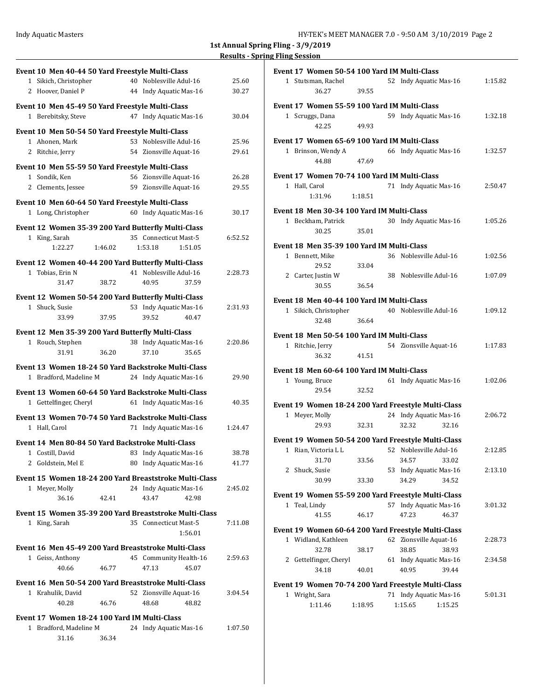|                |                                              |         |    | Event 10 Men 40-44 50 Yard Freestyle Multi-Class                              |         |                |  |
|----------------|----------------------------------------------|---------|----|-------------------------------------------------------------------------------|---------|----------------|--|
|                | 1 Sikich, Christopher                        |         |    | 40 Noblesville Adul-16                                                        |         | 25.60          |  |
|                | 2 Hoover, Daniel P                           |         |    | 44 Indy Aquatic Mas-16                                                        |         | 30.27          |  |
|                |                                              |         |    | Event 10 Men 45-49 50 Yard Freestyle Multi-Class                              |         |                |  |
|                | 1 Berebitsky, Steve                          |         |    | 47 Indy Aquatic Mas-16                                                        |         | 30.04          |  |
|                |                                              |         |    |                                                                               |         |                |  |
|                |                                              |         |    | Event 10 Men 50-54 50 Yard Freestyle Multi-Class                              |         |                |  |
|                | 1 Ahonen, Mark<br>2 Ritchie, Jerry           |         |    | 53 Noblesville Adul-16<br>54 Zionsville Aquat-16                              |         | 25.96<br>29.61 |  |
|                |                                              |         |    |                                                                               |         |                |  |
|                |                                              |         |    | Event 10 Men 55-59 50 Yard Freestyle Multi-Class                              |         |                |  |
| 1 Sondik, Ken  |                                              |         |    | 56 Zionsville Aquat-16                                                        |         | 26.28          |  |
|                | 2 Clements, Jessee                           |         |    | 59 Zionsville Aquat-16                                                        |         | 29.55          |  |
|                |                                              |         |    | Event 10 Men 60-64 50 Yard Freestyle Multi-Class                              |         |                |  |
|                | 1 Long, Christopher                          |         |    | 60 Indy Aquatic Mas-16                                                        |         | 30.17          |  |
|                |                                              |         |    | Event 12 Women 35-39 200 Yard Butterfly Multi-Class                           |         |                |  |
| 1 King, Sarah  |                                              |         |    | 35 Connecticut Mast-5                                                         |         | 6:52.52        |  |
|                | 1:22.27                                      | 1:46.02 |    | 1:53.18                                                                       | 1:51.05 |                |  |
|                |                                              |         |    |                                                                               |         |                |  |
|                | 1 Tobias, Erin N                             |         |    | Event 12 Women 40-44 200 Yard Butterfly Multi-Class<br>41 Noblesville Adul-16 |         |                |  |
|                | 31.47                                        | 38.72   |    | 40.95                                                                         | 37.59   | 2:28.73        |  |
|                |                                              |         |    |                                                                               |         |                |  |
|                |                                              |         |    | Event 12 Women 50-54 200 Yard Butterfly Multi-Class                           |         |                |  |
| 1 Shuck, Susie |                                              |         |    | 53 Indy Aquatic Mas-16                                                        |         | 2:31.93        |  |
|                | 33.99                                        | 37.95   |    | 39.52                                                                         | 40.47   |                |  |
|                |                                              |         |    | Event 12 Men 35-39 200 Yard Butterfly Multi-Class                             |         |                |  |
|                | 1 Rouch, Stephen                             |         |    | 38 Indy Aquatic Mas-16                                                        |         | 2:20.86        |  |
|                | 31.91                                        | 36.20   |    | 37.10                                                                         | 35.65   |                |  |
|                |                                              |         |    | Event 13 Women 18-24 50 Yard Backstroke Multi-Class                           |         |                |  |
|                | 1 Bradford, Madeline M                       |         |    | 24 Indy Aquatic Mas-16                                                        |         | 29.90          |  |
|                |                                              |         |    | Event 13 Women 60-64 50 Yard Backstroke Multi-Class                           |         |                |  |
|                | 1 Gettelfinger, Cheryl                       |         |    | 61 Indy Aquatic Mas-16                                                        |         | 40.35          |  |
|                |                                              |         |    |                                                                               |         |                |  |
| 1 Hall, Carol  |                                              |         |    | Event 13 Women 70-74 50 Yard Backstroke Multi-Class<br>71 Indy Aquatic Mas-16 |         | 1:24.47        |  |
|                |                                              |         |    |                                                                               |         |                |  |
|                |                                              |         |    | Event 14 Men 80-84 50 Yard Backstroke Multi-Class                             |         |                |  |
|                | 1 Costill, David                             |         | 83 | Indy Aquatic Mas-16                                                           |         | 38.78          |  |
|                | 2 Goldstein, Mel E                           |         |    | 80 Indy Aquatic Mas-16                                                        |         | 41.77          |  |
|                |                                              |         |    | Event 15 Women 18-24 200 Yard Breaststroke Multi-Class                        |         |                |  |
|                | 1 Meyer, Molly                               |         |    | 24 Indy Aquatic Mas-16                                                        |         | 2:45.02        |  |
|                | 36.16                                        | 42.41   |    | 43.47                                                                         | 42.98   |                |  |
|                |                                              |         |    | Event 15 Women 35-39 200 Yard Breaststroke Multi-Class                        |         |                |  |
| 1 King, Sarah  |                                              |         |    | 35 Connecticut Mast-5                                                         |         | 7:11.08        |  |
|                |                                              |         |    |                                                                               | 1:56.01 |                |  |
|                |                                              |         |    | Event 16 Men 45-49 200 Yard Breaststroke Multi-Class                          |         |                |  |
|                | 1 Geiss, Anthony                             |         |    | 45 Community Health-16                                                        |         | 2:59.63        |  |
|                | 40.66                                        | 46.77   |    | 47.13                                                                         | 45.07   |                |  |
|                |                                              |         |    |                                                                               |         |                |  |
|                |                                              |         |    | Event 16 Men 50-54 200 Yard Breaststroke Multi-Class                          |         |                |  |
|                | 1 Krahulik, David                            |         |    | 52 Zionsville Aquat-16                                                        |         | 3:04.54        |  |
|                | 40.28                                        | 46.76   |    | 48.68                                                                         | 48.82   |                |  |
|                | Event 17 Women 18-24 100 Yard IM Multi-Class |         |    |                                                                               |         |                |  |
|                | 1 Bradford, Madeline M                       |         |    | 24 Indy Aquatic Mas-16                                                        |         | 1:07.50        |  |
|                | 31.16                                        | 36.34   |    |                                                                               |         |                |  |

| Event 17 Women 50-54 100 Yard IM Multi-Class        |         |    |                        |         |  |  |  |
|-----------------------------------------------------|---------|----|------------------------|---------|--|--|--|
| 1 Stutsman, Rachel                                  |         |    | 52 Indy Aquatic Mas-16 | 1:15.82 |  |  |  |
| 36.27                                               | 39.55   |    |                        |         |  |  |  |
| Event 17 Women 55-59 100 Yard IM Multi-Class        |         |    |                        |         |  |  |  |
| 1 Scruggs, Dana                                     |         |    | 59 Indy Aquatic Mas-16 | 1:32.18 |  |  |  |
| 42.25                                               | 49.93   |    |                        |         |  |  |  |
|                                                     |         |    |                        |         |  |  |  |
| Event 17 Women 65-69 100 Yard IM Multi-Class        |         |    |                        |         |  |  |  |
| 1 Brinson, Wendy A                                  |         |    | 66 Indy Aquatic Mas-16 | 1:32.57 |  |  |  |
| 44.88                                               | 47.69   |    |                        |         |  |  |  |
| Event 17 Women 70-74 100 Yard IM Multi-Class        |         |    |                        |         |  |  |  |
| 1 Hall, Carol                                       |         |    | 71 Indy Aquatic Mas-16 | 2:50.47 |  |  |  |
| 1:31.96                                             | 1:18.51 |    |                        |         |  |  |  |
|                                                     |         |    |                        |         |  |  |  |
| Event 18 Men 30-34 100 Yard IM Multi-Class          |         |    |                        |         |  |  |  |
| 1 Beckham, Patrick                                  |         |    | 30 Indy Aquatic Mas-16 | 1:05.26 |  |  |  |
| 30.25                                               | 35.01   |    |                        |         |  |  |  |
| Event 18 Men 35-39 100 Yard IM Multi-Class          |         |    |                        |         |  |  |  |
| 1 Bennett, Mike                                     |         |    | 36 Noblesville Adul-16 | 1:02.56 |  |  |  |
| 29.52                                               | 33.04   |    |                        |         |  |  |  |
| 2 Carter, Justin W                                  |         |    | 38 Noblesville Adul-16 | 1:07.09 |  |  |  |
| 30.55                                               | 36.54   |    |                        |         |  |  |  |
| Event 18 Men 40-44 100 Yard IM Multi-Class          |         |    |                        |         |  |  |  |
| 1 Sikich, Christopher                               |         |    | 40 Noblesville Adul-16 | 1:09.12 |  |  |  |
| 32.48                                               | 36.64   |    |                        |         |  |  |  |
|                                                     |         |    |                        |         |  |  |  |
| Event 18 Men 50-54 100 Yard IM Multi-Class          |         |    |                        |         |  |  |  |
| 1 Ritchie, Jerry                                    |         |    | 54 Zionsville Aquat-16 | 1:17.83 |  |  |  |
| 36.32                                               | 41.51   |    |                        |         |  |  |  |
| Event 18 Men 60-64 100 Yard IM Multi-Class          |         |    |                        |         |  |  |  |
| 1 Young, Bruce                                      |         |    | 61 Indy Aquatic Mas-16 | 1:02.06 |  |  |  |
| 29.54                                               | 32.52   |    |                        |         |  |  |  |
|                                                     |         |    |                        |         |  |  |  |
| Event 19 Women 18-24 200 Yard Freestyle Multi-Class |         |    |                        |         |  |  |  |
| 1 Meyer, Molly                                      |         |    | 24 Indy Aquatic Mas-16 | 2:06.72 |  |  |  |
| 29.93                                               | 32.31   |    | 32.16<br>32.32         |         |  |  |  |
| Event 19 Women 50-54 200 Yard Freestyle Multi-Class |         |    |                        |         |  |  |  |
| 1 Rian, Victoria L L                                |         |    | 52 Noblesville Adul-16 | 2:12.85 |  |  |  |
| 31.70                                               | 33.56   |    | 34.57<br>33.02         |         |  |  |  |
| 2 Shuck, Susie                                      |         | 53 | Indy Aquatic Mas-16    | 2:13.10 |  |  |  |
| 30.99                                               | 33.30   |    | 34.29<br>34.52         |         |  |  |  |
|                                                     |         |    |                        |         |  |  |  |
| Event 19 Women 55-59 200 Yard Freestyle Multi-Class |         |    |                        |         |  |  |  |
| 1 Teal, Lindy                                       |         |    | 57 Indy Aquatic Mas-16 | 3:01.32 |  |  |  |
| 41.55                                               | 46.17   |    | 46.37<br>47.23         |         |  |  |  |
| Event 19 Women 60-64 200 Yard Freestyle Multi-Class |         |    |                        |         |  |  |  |
| 1 Widland, Kathleen                                 |         | 62 | Zionsville Aquat-16    | 2:28.73 |  |  |  |
| 32.78                                               | 38.17   |    | 38.85<br>38.93         |         |  |  |  |
| 2 Gettelfinger, Cheryl                              |         |    | 61 Indy Aquatic Mas-16 | 2:34.58 |  |  |  |
| 34.18                                               | 40.01   |    | 40.95<br>39.44         |         |  |  |  |
| Event 19 Women 70-74 200 Yard Freestyle Multi-Class |         |    |                        |         |  |  |  |
| 1 Wright, Sara                                      |         |    | 71 Indy Aquatic Mas-16 | 5:01.31 |  |  |  |
| 1:11.46                                             | 1:18.95 |    | 1:15.65<br>1:15.25     |         |  |  |  |
|                                                     |         |    |                        |         |  |  |  |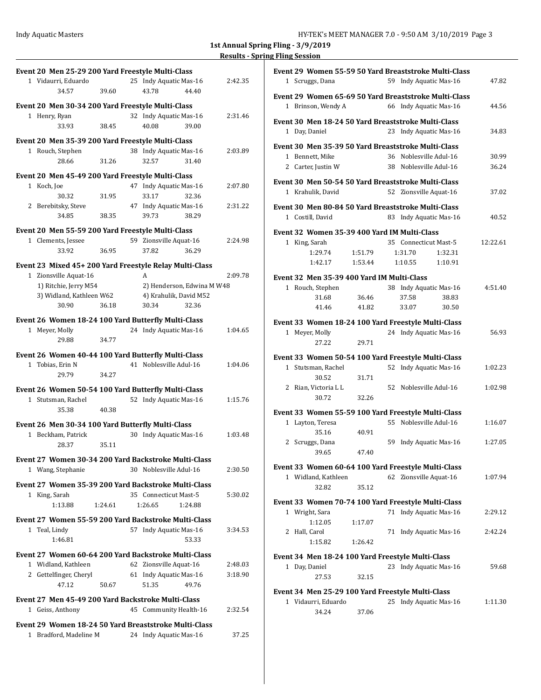| Event 20 Men 25-29 200 Yard Freestyle Multi-Class                                                              | Event 29 Women 55-59 50 Yard Breaststroke Multi-Class                                |
|----------------------------------------------------------------------------------------------------------------|--------------------------------------------------------------------------------------|
| 1 Vidaurri, Eduardo<br>25 Indy Aquatic Mas-16<br>2:42.35                                                       | 47.82<br>1 Scruggs, Dana<br>59 Indy Aquatic Mas-16                                   |
| 34.57<br>39.60<br>43.78<br>44.40                                                                               | Event 29 Women 65-69 50 Yard Breaststroke Multi-Class                                |
| Event 20 Men 30-34 200 Yard Freestyle Multi-Class                                                              | 1 Brinson, Wendy A<br>66 Indy Aquatic Mas-16<br>44.56                                |
| 32 Indy Aquatic Mas-16<br>2:31.46<br>1 Henry, Ryan                                                             | Event 30 Men 18-24 50 Yard Breaststroke Multi-Class                                  |
| 40.08<br>39.00<br>33.93<br>38.45                                                                               | 1 Day, Daniel<br>23 Indy Aquatic Mas-16<br>34.83                                     |
| Event 20 Men 35-39 200 Yard Freestyle Multi-Class                                                              | Event 30 Men 35-39 50 Yard Breaststroke Multi-Class                                  |
| 38 Indy Aquatic Mas-16<br>2:03.89<br>1 Rouch, Stephen                                                          | 30.99<br>1 Bennett, Mike<br>36 Noblesville Adul-16                                   |
| 31.40<br>28.66<br>31.26<br>32.57                                                                               | 38 Noblesville Adul-16<br>36.24<br>2 Carter, Justin W                                |
| Event 20 Men 45-49 200 Yard Freestyle Multi-Class                                                              | Event 30 Men 50-54 50 Yard Breaststroke Multi-Class                                  |
| 1 Koch, Joe<br>47 Indy Aquatic Mas-16<br>2:07.80                                                               | 52 Zionsville Aquat-16<br>37.02<br>1 Krahulik, David                                 |
| 30.32<br>31.95<br>33.17<br>32.36<br>47 Indy Aquatic Mas-16                                                     |                                                                                      |
| 2 Berebitsky, Steve<br>2:31.22<br>38.35<br>38.29<br>34.85<br>39.73                                             | Event 30 Men 80-84 50 Yard Breaststroke Multi-Class                                  |
|                                                                                                                | 1 Costill, David<br>83 Indy Aquatic Mas-16<br>40.52                                  |
| Event 20 Men 55-59 200 Yard Freestyle Multi-Class                                                              | Event 32 Women 35-39 400 Yard IM Multi-Class                                         |
| 1 Clements, Jessee<br>59 Zionsville Aquat-16<br>2:24.98<br>33.92<br>36.95<br>37.82<br>36.29                    | 1 King, Sarah<br>12:22.61<br>35 Connecticut Mast-5                                   |
|                                                                                                                | 1:51.79<br>1:29.74<br>1:31.70<br>1:32.31<br>1:10.55<br>1:42.17<br>1:53.44<br>1:10.91 |
| Event 23 Mixed 45+ 200 Yard Freestyle Relay Multi-Class                                                        |                                                                                      |
| 1 Zionsville Aquat-16<br>2:09.78<br>A<br>2) Henderson, Edwina M W48                                            | Event 32 Men 35-39 400 Yard IM Multi-Class                                           |
| 1) Ritchie, Jerry M54<br>3) Widland, Kathleen W62<br>4) Krahulik, David M52                                    | 38 Indy Aquatic Mas-16<br>4:51.40<br>1 Rouch, Stephen                                |
| 32.36<br>30.90<br>36.18<br>30.34                                                                               | 36.46<br>38.83<br>31.68<br>37.58<br>41.82<br>33.07<br>30.50<br>41.46                 |
| Event 26 Women 18-24 100 Yard Butterfly Multi-Class                                                            |                                                                                      |
| 24 Indy Aquatic Mas-16<br>1:04.65<br>1 Meyer, Molly                                                            | Event 33 Women 18-24 100 Yard Freestyle Multi-Class                                  |
| 29.88<br>34.77                                                                                                 | 24 Indy Aquatic Mas-16<br>56.93<br>1 Meyer, Molly<br>29.71<br>27.22                  |
| Event 26 Women 40-44 100 Yard Butterfly Multi-Class                                                            |                                                                                      |
| 41 Noblesville Adul-16<br>1:04.06<br>1 Tobias, Erin N                                                          | Event 33 Women 50-54 100 Yard Freestyle Multi-Class                                  |
| 29.79<br>34.27                                                                                                 | 1:02.23<br>1 Stutsman, Rachel<br>52 Indy Aquatic Mas-16<br>30.52<br>31.71            |
| Event 26 Women 50-54 100 Yard Butterfly Multi-Class                                                            | 2 Rian, Victoria L L<br>52 Noblesville Adul-16<br>1:02.98                            |
| 52 Indy Aquatic Mas-16<br>1:15.76<br>1 Stutsman, Rachel                                                        | 30.72<br>32.26                                                                       |
| 35.38<br>40.38                                                                                                 | Event 33 Women 55-59 100 Yard Freestyle Multi-Class                                  |
| Event 26 Men 30-34 100 Yard Butterfly Multi-Class                                                              | 1 Layton, Teresa<br>55 Noblesville Adul-16<br>1:16.07                                |
| 30 Indy Aquatic Mas-16<br>1:03.48<br>1 Beckham, Patrick                                                        | 35.16<br>40.91                                                                       |
| 35.11<br>28.37                                                                                                 | 2 Scruggs, Dana<br>1:27.05<br>59 Indy Aquatic Mas-16                                 |
|                                                                                                                | 39.65<br>47.40                                                                       |
| Event 27 Women 30-34 200 Yard Backstroke Multi-Class<br>30 Noblesville Adul-16<br>2:30.50<br>1 Wang, Stephanie | Event 33 Women 60-64 100 Yard Freestyle Multi-Class                                  |
|                                                                                                                | 1 Widland, Kathleen<br>62 Zionsville Aquat-16<br>1:07.94                             |
| Event 27 Women 35-39 200 Yard Backstroke Multi-Class                                                           | 32.82<br>35.12                                                                       |
| 1 King, Sarah<br>35 Connecticut Mast-5<br>5:30.02<br>1:13.88<br>1:26.65<br>1:24.88<br>1:24.61                  | Event 33 Women 70-74 100 Yard Freestyle Multi-Class                                  |
|                                                                                                                | 1 Wright, Sara<br>71 Indy Aquatic Mas-16<br>2:29.12                                  |
| Event 27 Women 55-59 200 Yard Backstroke Multi-Class                                                           | 1:12.05<br>1:17.07                                                                   |
| 1 Teal, Lindy<br>57 Indy Aquatic Mas-16<br>3:34.53<br>1:46.81<br>53.33                                         | 2 Hall, Carol<br>71 Indy Aquatic Mas-16<br>2:42.24                                   |
|                                                                                                                | 1:15.82<br>1:26.42                                                                   |
| Event 27 Women 60-64 200 Yard Backstroke Multi-Class                                                           | Event 34 Men 18-24 100 Yard Freestyle Multi-Class                                    |
| 1 Widland, Kathleen<br>2:48.03<br>62 Zionsville Aquat-16                                                       | 1 Day, Daniel<br>23 Indy Aquatic Mas-16<br>59.68                                     |
| 2 Gettelfinger, Cheryl<br>61 Indy Aquatic Mas-16<br>3:18.90<br>47.12<br>49.76<br>50.67<br>51.35                | 27.53<br>32.15                                                                       |
|                                                                                                                | Event 34 Men 25-29 100 Yard Freestyle Multi-Class                                    |
| Event 27 Men 45-49 200 Yard Backstroke Multi-Class                                                             | 1 Vidaurri, Eduardo<br>25 Indy Aquatic Mas-16<br>1:11.30                             |
| 1 Geiss, Anthony<br>45 Community Health-16<br>2:32.54                                                          | 37.06<br>34.24                                                                       |
| Event 29 Women 18-24 50 Yard Breaststroke Multi-Class                                                          |                                                                                      |
| 1 Bradford, Madeline M<br>24 Indy Aquatic Mas-16<br>37.25                                                      |                                                                                      |
|                                                                                                                |                                                                                      |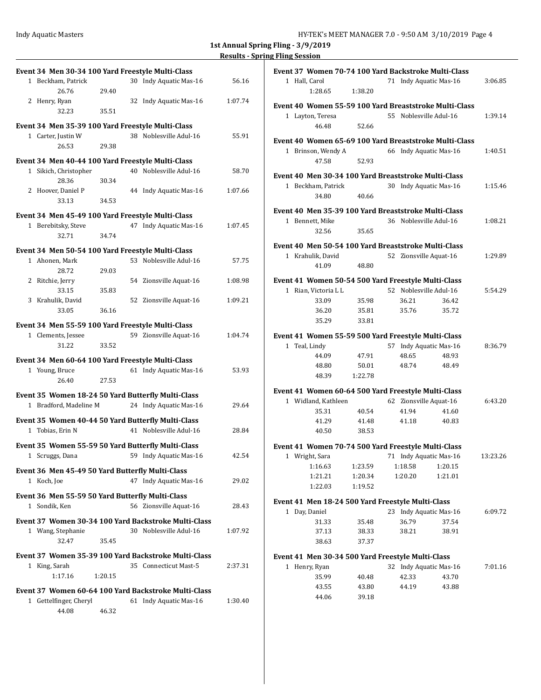| Event 34 Men 30-34 100 Yard Freestyle Multi-Class    |       |                        |         |
|------------------------------------------------------|-------|------------------------|---------|
| 1 Beckham, Patrick                                   |       | 30 Indy Aquatic Mas-16 | 56.16   |
| 26.76                                                | 29.40 |                        |         |
| 2 Henry, Ryan                                        |       | 32 Indy Aquatic Mas-16 | 1:07.74 |
| 32.23                                                | 35.51 |                        |         |
| Event 34 Men 35-39 100 Yard Freestyle Multi-Class    |       |                        |         |
| 1 Carter, Justin W                                   |       | 38 Noblesville Adul-16 | 55.91   |
| 26.53                                                | 29.38 |                        |         |
| Event 34 Men 40-44 100 Yard Freestyle Multi-Class    |       |                        |         |
| 1 Sikich, Christopher                                |       | 40 Noblesville Adul-16 | 58.70   |
| 28.36                                                | 30.34 |                        |         |
| 2 Hoover, Daniel P                                   |       | 44 Indy Aquatic Mas-16 | 1:07.66 |
| 33.13                                                | 34.53 |                        |         |
| Event 34 Men 45-49 100 Yard Freestyle Multi-Class    |       |                        |         |
| 1 Berebitsky, Steve                                  |       | 47 Indy Aquatic Mas-16 | 1:07.45 |
| 32.71                                                | 34.74 |                        |         |
| Event 34 Men 50-54 100 Yard Freestyle Multi-Class    |       |                        |         |
| 1 Ahonen, Mark                                       |       | 53 Noblesville Adul-16 | 57.75   |
| 28.72                                                | 29.03 |                        |         |
| 2 Ritchie, Jerry                                     |       | 54 Zionsville Aquat-16 | 1:08.98 |
| 33.15                                                | 35.83 |                        |         |
| 3 Krahulik, David                                    |       | 52 Zionsville Aquat-16 | 1:09.21 |
| 33.05                                                | 36.16 |                        |         |
| Event 34 Men 55-59 100 Yard Freestyle Multi-Class    |       |                        |         |
| 1 Clements, Jessee                                   |       | 59 Zionsville Aquat-16 | 1:04.74 |
| 31.22                                                | 33.52 |                        |         |
|                                                      |       |                        |         |
|                                                      |       |                        |         |
| Event 34 Men 60-64 100 Yard Freestyle Multi-Class    |       |                        |         |
| 1 Young, Bruce<br>26.40                              | 27.53 | 61 Indy Aquatic Mas-16 | 53.93   |
|                                                      |       |                        |         |
| Event 35 Women 18-24 50 Yard Butterfly Multi-Class   |       |                        |         |
| 1 Bradford, Madeline M                               |       | 24 Indy Aquatic Mas-16 | 29.64   |
| Event 35 Women 40-44 50 Yard Butterfly Multi-Class   |       |                        |         |
| 1 Tobias, Erin N                                     |       | 41 Noblesville Adul-16 | 28.84   |
| Event 35 Women 55-59 50 Yard Butterfly Multi-Class   |       |                        |         |
| Scruggs, Dana<br>1                                   |       | 59 Indy Aquatic Mas-16 | 42.54   |
|                                                      |       |                        |         |
| Event 36 Men 45-49 50 Yard Butterfly Multi-Class     |       |                        | 29.02   |
| 1 Koch, Joe                                          |       | 47 Indy Aquatic Mas-16 |         |
| Event 36 Men 55-59 50 Yard Butterfly Multi-Class     |       |                        |         |
| 1 Sondik, Ken                                        |       | 56 Zionsville Aquat-16 | 28.43   |
| Event 37 Women 30-34 100 Yard Backstroke Multi-Class |       |                        |         |
| 1 Wang, Stephanie                                    |       | 30 Noblesville Adul-16 | 1:07.92 |
| 32.47                                                | 35.45 |                        |         |
| Event 37 Women 35-39 100 Yard Backstroke Multi-Class |       |                        |         |
| 1 King, Sarah                                        |       | 35 Connecticut Mast-5  | 2:37.31 |
| 1:17.16<br>1:20.15                                   |       |                        |         |
| Event 37 Women 60-64 100 Yard Backstroke Multi-Class |       |                        |         |
| 1 Gettelfinger, Cheryl                               |       | 61 Indy Aquatic Mas-16 | 1:30.40 |
| 44.08                                                | 46.32 |                        |         |

|       | Event 37 Women 70-74 100 Yard Backstroke Multi-Class   |                |    |         |                              |          |
|-------|--------------------------------------------------------|----------------|----|---------|------------------------------|----------|
|       | 1 Hall, Carol<br>1:28.65                               | 1:38.20        |    |         | 71 Indy Aquatic Mas-16       | 3:06.85  |
|       | Event 40 Women 55-59 100 Yard Breaststroke Multi-Class |                |    |         |                              |          |
|       | 1 Layton, Teresa                                       |                |    |         | 55 Noblesville Adul-16       | 1:39.14  |
|       | 46.48                                                  | 52.66          |    |         |                              |          |
|       | Event 40 Women 65-69 100 Yard Breaststroke Multi-Class |                |    |         |                              |          |
|       | 1 Brinson, Wendy A                                     |                |    |         | 66 Indy Aquatic Mas-16       | 1:40.51  |
|       | 47.58                                                  | 52.93          |    |         |                              |          |
|       |                                                        |                |    |         |                              |          |
|       | Event 40 Men 30-34 100 Yard Breaststroke Multi-Class   |                |    |         |                              |          |
|       | 1 Beckham, Patrick                                     |                | 30 |         | Indy Aquatic Mas-16          | 1:15.46  |
|       | 34.80                                                  | 40.66          |    |         |                              |          |
|       | Event 40 Men 35-39 100 Yard Breaststroke Multi-Class   |                |    |         |                              |          |
|       | 1 Bennett, Mike                                        |                |    |         | 36 Noblesville Adul-16       | 1:08.21  |
|       | 32.56                                                  | 35.65          |    |         |                              |          |
|       | Event 40 Men 50-54 100 Yard Breaststroke Multi-Class   |                |    |         |                              |          |
|       | 1 Krahulik, David                                      |                |    |         | 52 Zionsville Aquat-16       | 1:29.89  |
|       | 41.09                                                  | 48.80          |    |         |                              |          |
|       | Event 41 Women 50-54 500 Yard Freestyle Multi-Class    |                |    |         |                              |          |
|       | 1 Rian, Victoria L L                                   |                |    |         | 52 Noblesville Adul-16       | 5:54.29  |
|       | 33.09                                                  | 35.98          |    | 36.21   | 36.42                        |          |
|       | 36.20                                                  | 35.81          |    | 35.76   | 35.72                        |          |
|       | 35.29                                                  | 33.81          |    |         |                              |          |
|       |                                                        |                |    |         |                              |          |
|       | Event 41 Women 55-59 500 Yard Freestyle Multi-Class    |                |    |         |                              |          |
| $1\,$ | Teal, Lindy<br>44.09                                   | 47.91          | 57 | 48.65   | Indy Aquatic Mas-16<br>48.93 | 8:36.79  |
|       | 48.80                                                  | 50.01          |    | 48.74   | 48.49                        |          |
|       | 48.39                                                  | 1:22.78        |    |         |                              |          |
|       |                                                        |                |    |         |                              |          |
|       | Event 41 Women 60-64 500 Yard Freestyle Multi-Class    |                |    |         |                              |          |
|       | 1 Widland, Kathleen                                    |                |    |         | 62 Zionsville Aquat-16       | 6:43.20  |
|       | 35.31                                                  | 40.54          |    | 41.94   | 41.60                        |          |
|       | 41.29<br>40.50                                         | 41.48<br>38.53 |    | 41.18   | 40.83                        |          |
|       |                                                        |                |    |         |                              |          |
|       | Event 41 Women 70-74 500 Yard Freestyle Multi-Class    |                |    |         |                              |          |
| 1     | Wright, Sara                                           |                |    |         | 71 Indy Aquatic Mas-16       | 13:23.26 |
|       | 1:16.63                                                | 1:23.59        |    | 1:18.58 | 1:20.15                      |          |
|       | 1:21.21                                                | 1:20.34        |    | 1:20.20 | 1:21.01                      |          |
|       | 1:22.03                                                | 1:19.52        |    |         |                              |          |
|       | Event 41 Men 18-24 500 Yard Freestyle Multi-Class      |                |    |         |                              |          |
|       | 1 Day, Daniel                                          |                | 23 |         | Indy Aquatic Mas-16          | 6:09.72  |
|       | 31.33                                                  | 35.48          |    | 36.79   | 37.54                        |          |
|       | 37.13                                                  | 38.33          |    | 38.21   | 38.91                        |          |
|       | 38.63                                                  | 37.37          |    |         |                              |          |
|       | Event 41 Men 30-34 500 Yard Freestyle Multi-Class      |                |    |         |                              |          |
|       | 1 Henry, Ryan                                          |                |    |         | 32 Indy Aquatic Mas-16       | 7:01.16  |
|       | 35.99                                                  | 40.48          |    | 42.33   | 43.70                        |          |
|       | 43.55                                                  | 43.80          |    | 44.19   | 43.88                        |          |
|       | 44.06                                                  | 39.18          |    |         |                              |          |